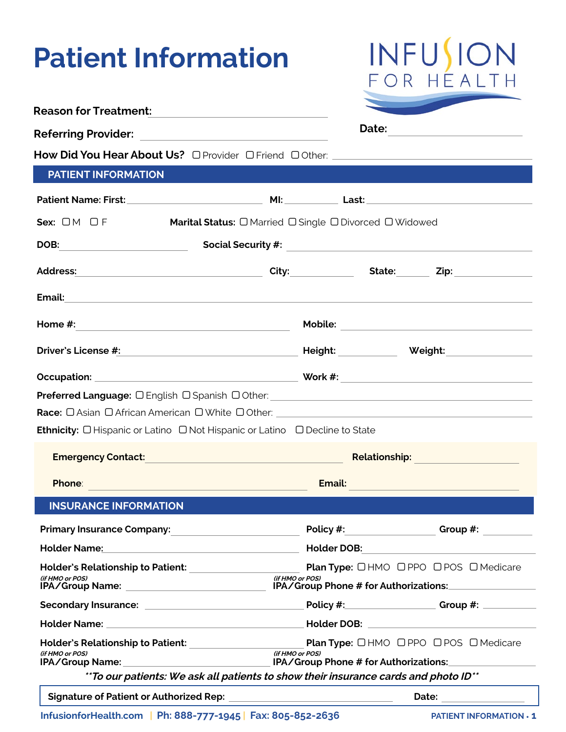# **Patient Information**



|                                                                                                                                                                                                                                        |                 | Date: |                                                                                                                                                                                                                                      |
|----------------------------------------------------------------------------------------------------------------------------------------------------------------------------------------------------------------------------------------|-----------------|-------|--------------------------------------------------------------------------------------------------------------------------------------------------------------------------------------------------------------------------------------|
| How Did You Hear About Us? O Provider O Friend O Other: _________________________                                                                                                                                                      |                 |       |                                                                                                                                                                                                                                      |
| <b>PATIENT INFORMATION</b>                                                                                                                                                                                                             |                 |       |                                                                                                                                                                                                                                      |
|                                                                                                                                                                                                                                        |                 |       |                                                                                                                                                                                                                                      |
| Sex: $OM$ $DF$<br><b>Marital Status:</b> O Married O Single O Divorced O Widowed                                                                                                                                                       |                 |       |                                                                                                                                                                                                                                      |
| DOB: Social Security #: 2008. CODE: 2008. CODE: 2009. CODE: 2010. CODE: 2010. CODE: 2010. CODE: 2010. CODE: 20                                                                                                                         |                 |       |                                                                                                                                                                                                                                      |
|                                                                                                                                                                                                                                        |                 |       |                                                                                                                                                                                                                                      |
| Email: <b>Email:</b> All and the contract of the contract of the contract of the contract of the contract of the contract of the contract of the contract of the contract of the contract of the contract of the contract of the co    |                 |       |                                                                                                                                                                                                                                      |
| Home #:<br>the control of the control of the control of the control of the control of                                                                                                                                                  |                 |       |                                                                                                                                                                                                                                      |
| Driver's License #: Network and Service and Service and Service and Service and Service and Service and Service                                                                                                                        |                 |       | <b>Height: Weight: Weight:</b> _______________                                                                                                                                                                                       |
|                                                                                                                                                                                                                                        |                 |       |                                                                                                                                                                                                                                      |
| Preferred Language: O English O Spanish O Other: 2008 2010 2020 2021 2022 2023 2024 2022 2023 2024 2022 2023 20                                                                                                                        |                 |       |                                                                                                                                                                                                                                      |
|                                                                                                                                                                                                                                        |                 |       |                                                                                                                                                                                                                                      |
| <b>Ethnicity:</b> O Hispanic or Latino O Not Hispanic or Latino O Decline to State                                                                                                                                                     |                 |       |                                                                                                                                                                                                                                      |
|                                                                                                                                                                                                                                        |                 |       |                                                                                                                                                                                                                                      |
| <b>Emergency Contact:</b>                                                                                                                                                                                                              |                 |       | Relationship: Network of the Manuscript of the Manuscript of the Manuscript of the Manuscript of the Manuscrip<br>Network of the Manuscript of the Manuscript of the Manuscript of the Manuscript of the Manuscript of the Manus<br> |
| <b>Phone:</b><br><u> 1989 - Johann Barn, amerikansk politiker (d. 1989)</u>                                                                                                                                                            | Email:          |       | and the control of the control of the control of the control of the control of the control of the control of the                                                                                                                     |
| <b>INSURANCE INFORMATION</b>                                                                                                                                                                                                           |                 |       |                                                                                                                                                                                                                                      |
| Primary Insurance Company:<br><u> Lettin American American American American American American American American American American American American American American American American American American American American Ameri</u> | Policy #:       |       | Group #:                                                                                                                                                                                                                             |
| Holder Name: Name: Name and Alliance and Alliance and Alliance and Alliance and Alliance and Alliance and Alliance and Alliance and Alliance and Alliance and Alliance and Alliance and Alliance and Alliance and Alliance and         |                 |       | Holder DOB: <u>___________________________</u>                                                                                                                                                                                       |
|                                                                                                                                                                                                                                        |                 |       | <b>Plan Type: OHMO OPPO OPOS OMedicare</b>                                                                                                                                                                                           |
| Holder's Relationship to Patient: ________________________<br>(if HMO or POS)                                                                                                                                                          | (if HMO or POS) |       |                                                                                                                                                                                                                                      |
| IPA/Group Name: ____________________________                                                                                                                                                                                           |                 |       | IPA/Group Phone # for Authorizations:                                                                                                                                                                                                |
|                                                                                                                                                                                                                                        |                 |       |                                                                                                                                                                                                                                      |
|                                                                                                                                                                                                                                        |                 |       |                                                                                                                                                                                                                                      |
| (if HMO or POS)                                                                                                                                                                                                                        | (if HMO or POS) |       |                                                                                                                                                                                                                                      |
| ** To our patients: We ask all patients to show their insurance cards and photo ID**                                                                                                                                                   |                 |       |                                                                                                                                                                                                                                      |

**InfusionforHealth.com** | Ph: 888-777-1945 | Fax: 805-852-2636 PATIENT INFORMATION · 1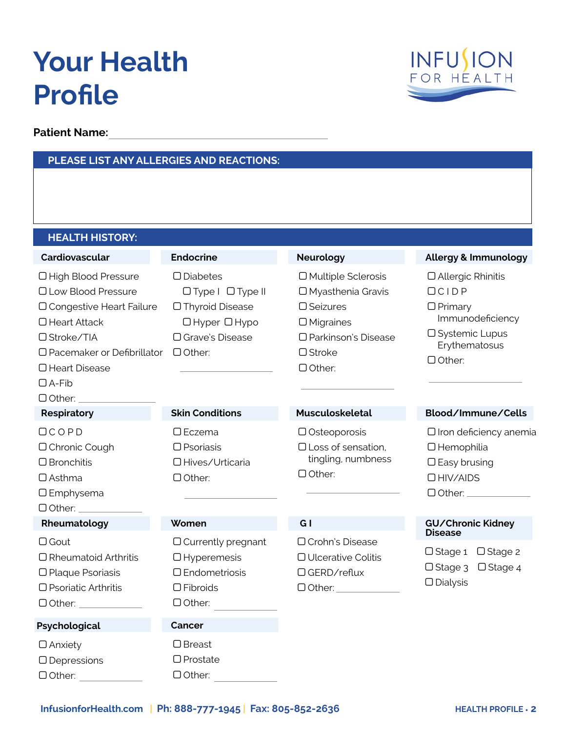# **Your Health Profile**

**Patient Name:**

#### **PLEASE LIST ANY ALLERGIES AND REACTIONS:**



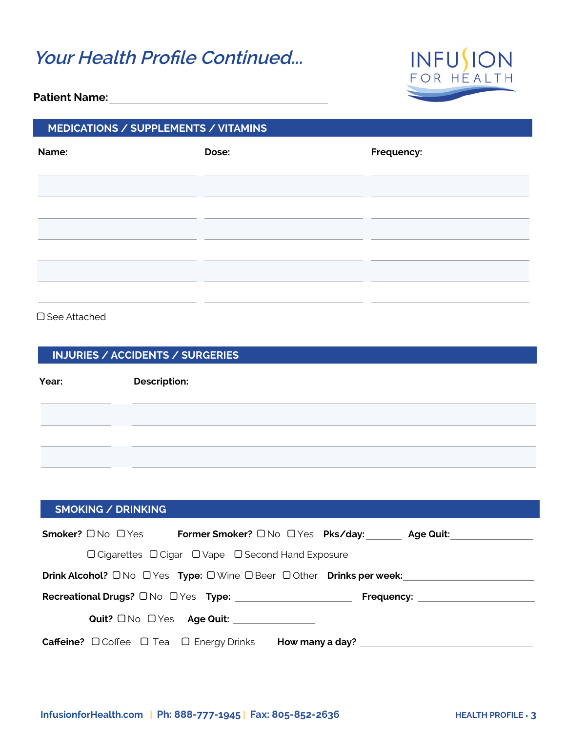### **Your Health Profile Continued...**



#### **Patient Name:**

#### **MEDICATIONS / SUPPLEMENTS / VITAMINS**

| Name: | Dose: | Frequency: |
|-------|-------|------------|
|       |       |            |
|       |       |            |
|       |       |            |
|       |       |            |
|       |       |            |
|       |       |            |

#### □ See Attached

| <b>INJURIES / ACCIDENTS / SURGERIES</b> |                     |  |  |
|-----------------------------------------|---------------------|--|--|
| Year:                                   | <b>Description:</b> |  |  |
|                                         |                     |  |  |
|                                         |                     |  |  |
|                                         |                     |  |  |

| <b>SMOKING / DRINKING</b>                                                                                     |                                                    |                                                            |                     |
|---------------------------------------------------------------------------------------------------------------|----------------------------------------------------|------------------------------------------------------------|---------------------|
| <b>Smoker?</b> $\Box$ No $\Box$ Yes                                                                           |                                                    | <b>Former Smoker?</b> $\Box$ No $\Box$ Yes <b>Pks/day:</b> | Age Quit: Age Ouit: |
|                                                                                                               | □ Cigarettes □ Cigar □ Vape □ Second Hand Exposure |                                                            |                     |
| <b>Drink Alcohol?</b> $\Box$ No $\Box$ Yes Type: $\Box$ Wine $\Box$ Beer $\Box$ Other <b>Drinks per week:</b> |                                                    |                                                            |                     |
|                                                                                                               |                                                    |                                                            | Frequency: Network  |
|                                                                                                               |                                                    |                                                            |                     |
| <b>Caffeine?</b> $\Box$ Coffee $\Box$ Tea $\Box$ Energy Drinks                                                |                                                    | How many a day?                                            |                     |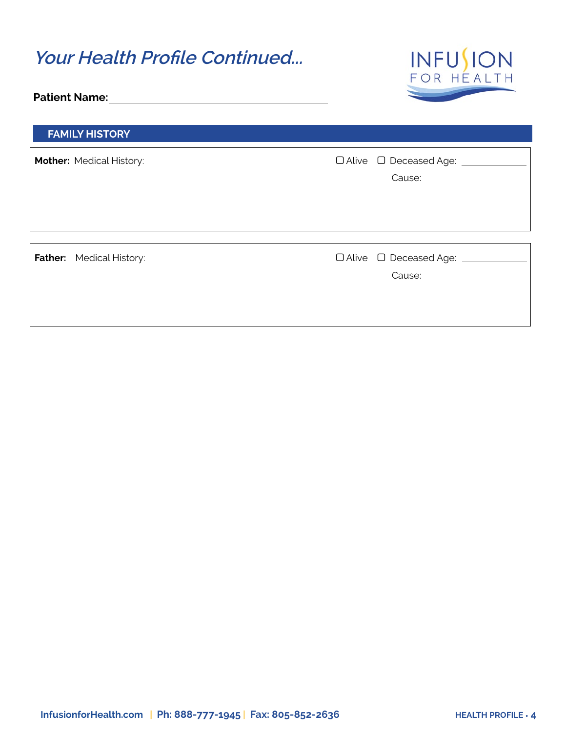| <b>Your Health Profile Continued</b><br><b>Patient Name:</b> | <b>INFUSION</b><br>FOR HEALTH                      |
|--------------------------------------------------------------|----------------------------------------------------|
| <b>FAMILY HISTORY</b>                                        |                                                    |
| <b>Mother: Medical History:</b>                              | $\Box$ Alive $\Box$ Deceased Age:<br>Cause:        |
| <b>Father:</b> Medical History:                              | $\Box$ Alive $\Box$ Deceased Age: $\Box$<br>Cause: |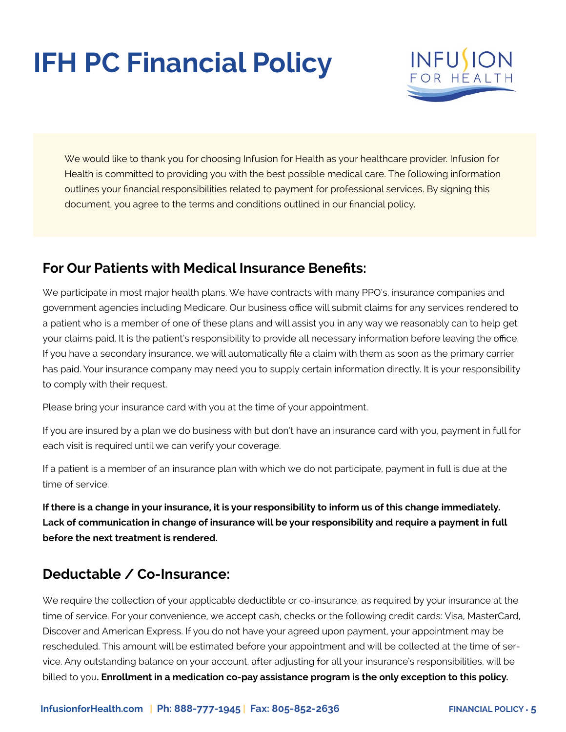# **IFH PC Financial Policy**



We would like to thank you for choosing Infusion for Health as your healthcare provider. Infusion for Health is committed to providing you with the best possible medical care. The following information outlines your financial responsibilities related to payment for professional services. By signing this document, you agree to the terms and conditions outlined in our financial policy.

### **For Our Patients with Medical Insurance Benefits:**

We participate in most major health plans. We have contracts with many PPO's, insurance companies and government agencies including Medicare. Our business office will submit claims for any services rendered to a patient who is a member of one of these plans and will assist you in any way we reasonably can to help get your claims paid. It is the patient's responsibility to provide all necessary information before leaving the office. If you have a secondary insurance, we will automatically file a claim with them as soon as the primary carrier has paid. Your insurance company may need you to supply certain information directly. It is your responsibility to comply with their request.

Please bring your insurance card with you at the time of your appointment.

If you are insured by a plan we do business with but don't have an insurance card with you, payment in full for each visit is required until we can verify your coverage.

If a patient is a member of an insurance plan with which we do not participate, payment in full is due at the time of service.

**If there is a change in your insurance, it is your responsibility to inform us of this change immediately. Lack of communication in change of insurance will be your responsibility and require a payment in full before the next treatment is rendered.**

### **Deductable / Co-Insurance:**

We require the collection of your applicable deductible or co-insurance, as required by your insurance at the time of service. For your convenience, we accept cash, checks or the following credit cards: Visa, MasterCard, Discover and American Express. If you do not have your agreed upon payment, your appointment may be rescheduled. This amount will be estimated before your appointment and will be collected at the time of service. Any outstanding balance on your account, after adjusting for all your insurance's responsibilities, will be billed to you**. Enrollment in a medication co-pay assistance program is the only exception to this policy.**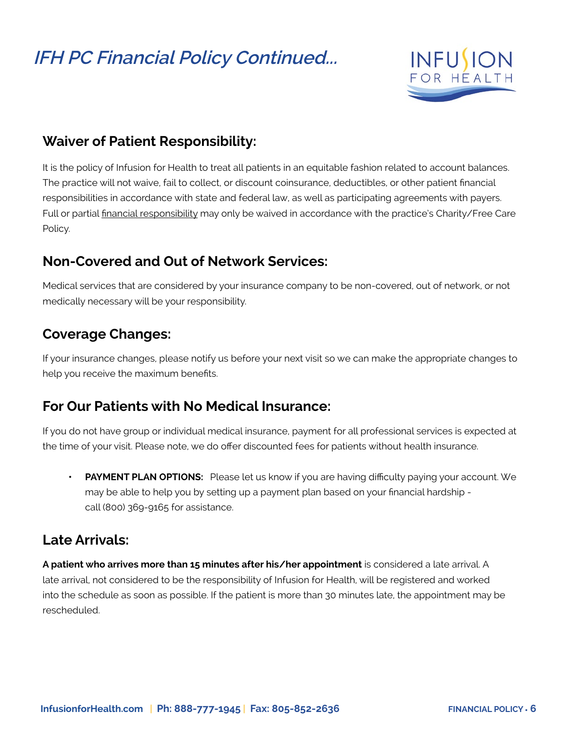## **IFH PC Financial Policy Continued...**



#### **Waiver of Patient Responsibility:**

It is the policy of Infusion for Health to treat all patients in an equitable fashion related to account balances. The practice will not waive, fail to collect, or discount coinsurance, deductibles, or other patient financial responsibilities in accordance with state and federal law, as well as participating agreements with payers. Full or partial financial responsibility may only be waived in accordance with the practice's Charity/Free Care Policy.

#### **Non-Covered and Out of Network Services:**

Medical services that are considered by your insurance company to be non-covered, out of network, or not medically necessary will be your responsibility.

#### **Coverage Changes:**

If your insurance changes, please notify us before your next visit so we can make the appropriate changes to help you receive the maximum benefits.

#### **For Our Patients with No Medical Insurance:**

If you do not have group or individual medical insurance, payment for all professional services is expected at the time of your visit. Please note, we do offer discounted fees for patients without health insurance.

**PAYMENT PLAN OPTIONS:** Please let us know if you are having difficulty paying your account. We may be able to help you by setting up a payment plan based on your financial hardship call (800) 369-9165 for assistance.

#### **Late Arrivals:**

**A patient who arrives more than 15 minutes after his/her appointment** is considered a late arrival. A late arrival, not considered to be the responsibility of Infusion for Health, will be registered and worked into the schedule as soon as possible. If the patient is more than 30 minutes late, the appointment may be rescheduled.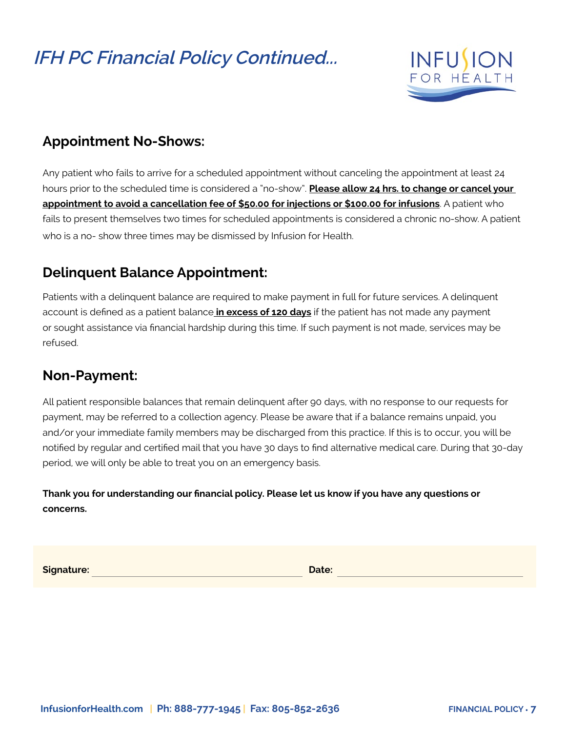## **IFH PC Financial Policy Continued...**



### **Appointment No-Shows:**

Any patient who fails to arrive for a scheduled appointment without canceling the appointment at least 24 hours prior to the scheduled time is considered a "no-show". **Please allow 24 hrs. to change or cancel your appointment to avoid a cancellation fee of \$50.00 for injections or \$100.00 for infusions**. A patient who fails to present themselves two times for scheduled appointments is considered a chronic no-show. A patient who is a no- show three times may be dismissed by Infusion for Health.

### **Delinquent Balance Appointment:**

Patients with a delinquent balance are required to make payment in full for future services. A delinquent account is defined as a patient balance **in excess of 120 days** if the patient has not made any payment or sought assistance via financial hardship during this time. If such payment is not made, services may be refused.

### **Non-Payment:**

All patient responsible balances that remain delinquent after 90 days, with no response to our requests for payment, may be referred to a collection agency. Please be aware that if a balance remains unpaid, you and/or your immediate family members may be discharged from this practice. If this is to occur, you will be notified by regular and certified mail that you have 30 days to find alternative medical care. During that 30-day period, we will only be able to treat you on an emergency basis.

**Thank you for understanding our financial policy. Please let us know if you have any questions or concerns.**

**Signature:** Date: **Date: Date: Date: Date: Date: Date: Date: Date: Date: Date: Date: Date: Date: Date: Date: Date: Date: Date: Date: Date: Date: Date: Date: Date: Date: Da**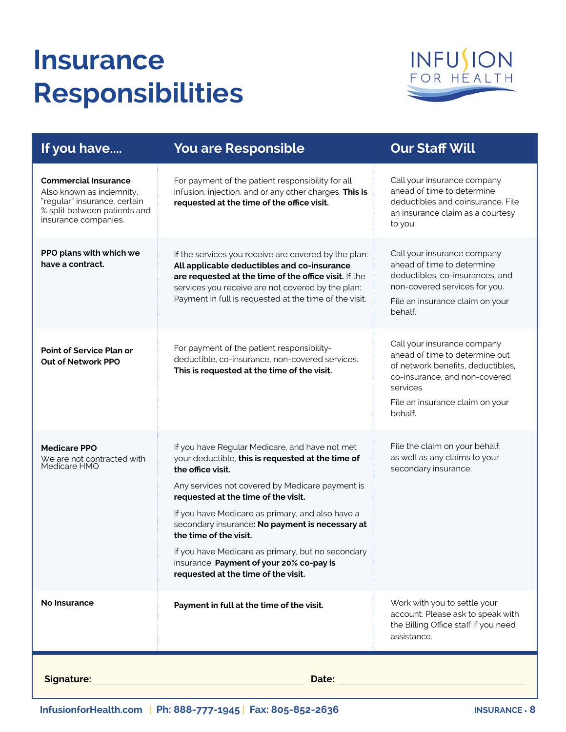# **Insurance Responsibilities**



| If you have                                                                                                                                     | <b>You are Responsible</b>                                                                                                                                                                                                                                                                                                                                                                                                                                                                  | <b>Our Staff Will</b>                                                                                                                                                                          |
|-------------------------------------------------------------------------------------------------------------------------------------------------|---------------------------------------------------------------------------------------------------------------------------------------------------------------------------------------------------------------------------------------------------------------------------------------------------------------------------------------------------------------------------------------------------------------------------------------------------------------------------------------------|------------------------------------------------------------------------------------------------------------------------------------------------------------------------------------------------|
| <b>Commercial Insurance</b><br>Also known as indemnity,<br>"regular" insurance, certain<br>% split between patients and<br>insurance companies. | For payment of the patient responsibility for all<br>infusion, injection, and or any other charges. This is<br>requested at the time of the office visit.                                                                                                                                                                                                                                                                                                                                   | Call your insurance company<br>ahead of time to determine<br>deductibles and coinsurance. File<br>an insurance claim as a courtesy<br>to you.                                                  |
| PPO plans with which we<br>have a contract.                                                                                                     | If the services you receive are covered by the plan:<br>All applicable deductibles and co-insurance<br>are requested at the time of the office visit. If the<br>services you receive are not covered by the plan:<br>Payment in full is requested at the time of the visit.                                                                                                                                                                                                                 | Call your insurance company<br>ahead of time to determine<br>deductibles, co-insurances, and<br>non-covered services for you.<br>File an insurance claim on your<br>behalf.                    |
| <b>Point of Service Plan or</b><br><b>Out of Network PPO</b>                                                                                    | For payment of the patient responsibility-<br>deductible, co-insurance, non-covered services.<br>This is requested at the time of the visit.                                                                                                                                                                                                                                                                                                                                                | Call your insurance company<br>ahead of time to determine out<br>of network benefits, deductibles,<br>co-insurance, and non-covered<br>services.<br>File an insurance claim on your<br>behalf. |
| <b>Medicare PPO</b><br>We are not contracted with<br>Medicare HMO                                                                               | If you have Regular Medicare, and have not met<br>your deductible, this is requested at the time of<br>the office visit.<br>Any services not covered by Medicare payment is<br>requested at the time of the visit.<br>If you have Medicare as primary, and also have a<br>secondary insurance: No payment is necessary at<br>the time of the visit.<br>If you have Medicare as primary, but no secondary<br>insurance: Payment of your 20% co-pay is<br>requested at the time of the visit. | File the claim on your behalf,<br>as well as any claims to your<br>secondary insurance.                                                                                                        |
| No Insurance                                                                                                                                    | Payment in full at the time of the visit.                                                                                                                                                                                                                                                                                                                                                                                                                                                   | Work with you to settle your<br>account. Please ask to speak with<br>the Billing Office staff if you need<br>assistance.                                                                       |
| <b>Signature:</b><br>Date:                                                                                                                      |                                                                                                                                                                                                                                                                                                                                                                                                                                                                                             |                                                                                                                                                                                                |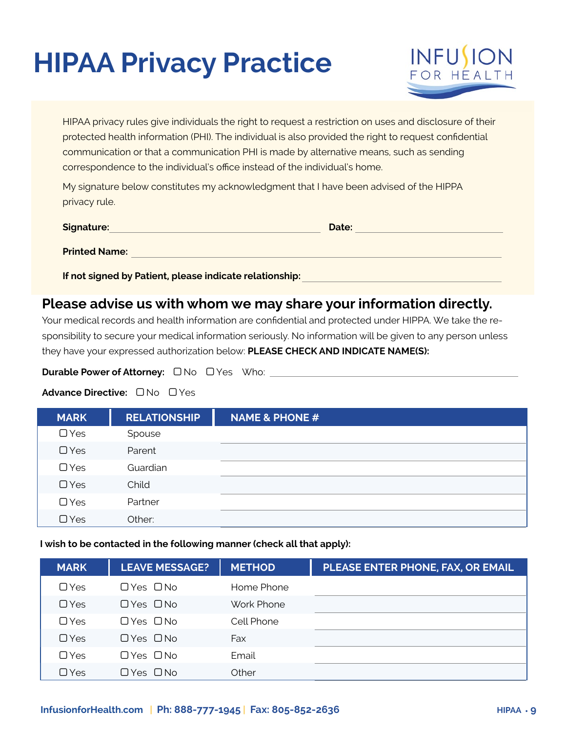# **HIPAA Privacy Practice**



HIPAA privacy rules give individuals the right to request a restriction on uses and disclosure of their protected health information (PHI). The individual is also provided the right to request confidential communication or that a communication PHI is made by alternative means, such as sending correspondence to the individual's office instead of the individual's home.

My signature below constitutes my acknowledgment that I have been advised of the HIPPA privacy rule.

| Signature:           | Date: |
|----------------------|-------|
| <b>Printed Name:</b> |       |

**If not signed by Patient, please indicate relationship:**

#### **Please advise us with whom we may share your information directly.**

Your medical records and health information are confidential and protected under HIPPA. We take the responsibility to secure your medical information seriously. No information will be given to any person unless they have your expressed authorization below: **PLEASE CHECK AND INDICATE NAME(S):**

**Durable Power of Attorney:**  $\Box$  No  $\Box$  Yes Who:

**Advance Directive:** □ No □ Yes

| <b>MARK</b> | <b>RELATIONSHIP</b> | <b>NAME &amp; PHONE #</b> |
|-------------|---------------------|---------------------------|
| $\Box$ Yes  | Spouse              |                           |
| $\Box$ Yes  | Parent              |                           |
| $\Box$ Yes  | Guardian            |                           |
| $\Box$ Yes  | Child               |                           |
| $\Box$ Yes  | Partner             |                           |
| $\Box$ Yes  | Other:              |                           |

**I wish to be contacted in the following manner (check all that apply):**

| <b>MARK</b> | <b>LEAVE MESSAGE?</b> | <b>METHOD</b> | PLEASE ENTER PHONE, FAX, OR EMAIL |
|-------------|-----------------------|---------------|-----------------------------------|
| $\Box$ Yes  | ПYes ПNo              | Home Phone    |                                   |
| $\Box$ Yes  | $\Box$ Yes $\Box$ No  | Work Phone    |                                   |
| $\Box$ Yes  | ПYes ПNo              | Cell Phone    |                                   |
| $\Box$ Yes  | $\Box$ Yes $\Box$ No  | Fax           |                                   |
| $\Box$ Yes  | $\Box$ Yes $\Box$ No  | Email         |                                   |
| $\Box$ Yes  | $\Box$ Yes $\Box$ No  | Other         |                                   |